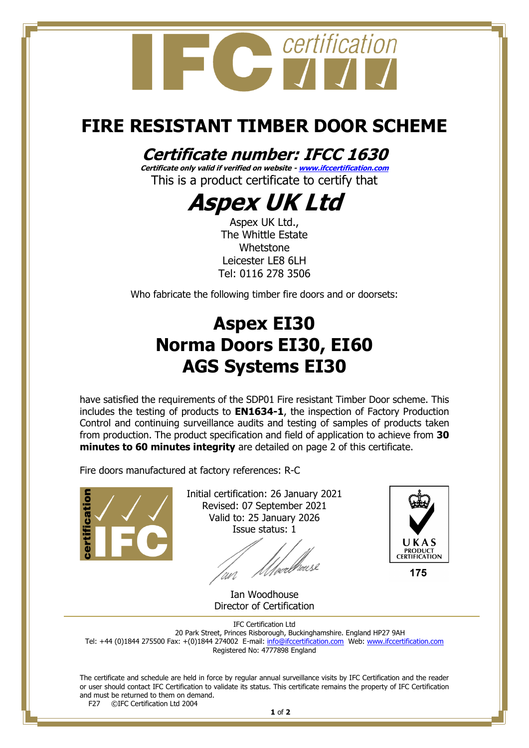

## **FIRE RESISTANT TIMBER DOOR SCHEME**

#### **Certificate number: IFCC 1630**

**Certificate only valid if verified on website - [www.ifccertification.com](http://www.ifccertification.com/)** This is a product certificate to certify that

# **Aspex UK Ltd**

Aspex UK Ltd., The Whittle Estate Whetstone Leicester LE8 6LH Tel: 0116 278 3506

Who fabricate the following timber fire doors and or doorsets:

### **Aspex EI30 Norma Doors EI30, EI60 AGS Systems EI30**

have satisfied the requirements of the SDP01 Fire resistant Timber Door scheme. This includes the testing of products to **EN1634-1**, the inspection of Factory Production Control and continuing surveillance audits and testing of samples of products taken from production. The product specification and field of application to achieve from **30 minutes to 60 minutes integrity** are detailed on page 2 of this certificate.

Fire doors manufactured at factory references: R-C



Initial certification: 26 January 2021 Revised: 07 September 2021 Valid to: 25 January 2026 Issue status: 1



Ian Woodhouse Director of Certification

IFC Certification Ltd 20 Park Street, Princes Risborough, Buckinghamshire. England HP27 9AH Tel: +44 (0)1844 275500 Fax: +(0)1844 274002 E-mail[: info@ifccertification.com](mailto:info@ifccertification.com) Web: [www.ifccertification.com](http://www.ifccertification.com/) Registered No: 4777898 England

The certificate and schedule are held in force by regular annual surveillance visits by IFC Certification and the reader or user should contact IFC Certification to validate its status. This certificate remains the property of IFC Certification and must be returned to them on demand.<br>F27 ©IFC Certification Ltd 2004 ©IFC Certification Ltd 2004